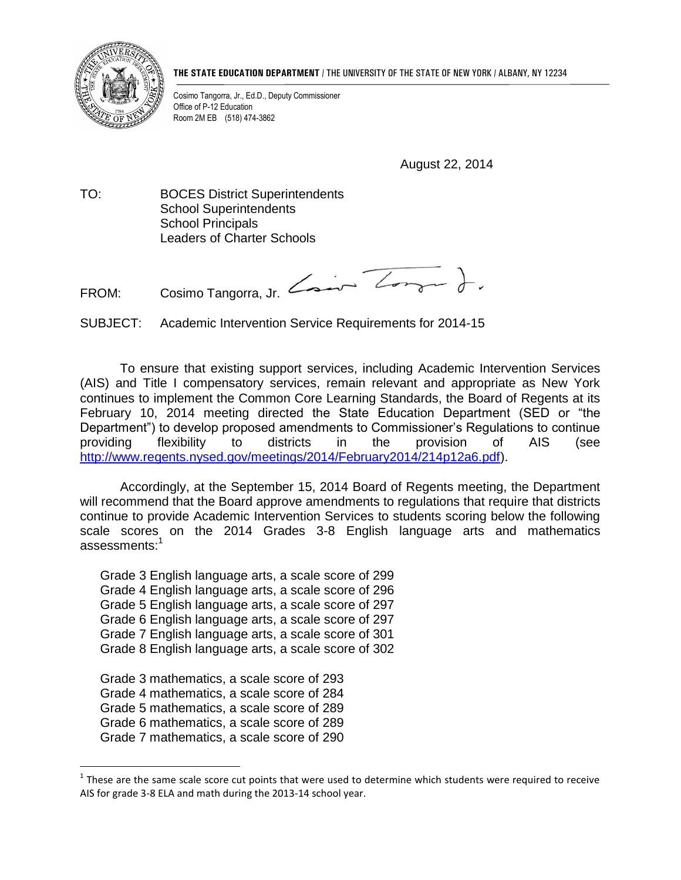

**THE STATE EDUCATION DEPARTMENT** / THE UNIVERSITY OF THE STATE OF NEW YORK / ALBANY, NY 12234

Cosimo Tangorra, Jr., Ed.D., Deputy Commissioner Office of P-12 Education Room 2M EB (518) 474-3862

August 22, 2014

TO: BOCES District Superintendents School Superintendents School Principals Leaders of Charter Schools

FROM: Cosimo Tangorra, Jr. Zool

SUBJECT: Academic Intervention Service Requirements for 2014-15

To ensure that existing support services, including Academic Intervention Services (AIS) and Title I compensatory services, remain relevant and appropriate as New York continues to implement the Common Core Learning Standards, the Board of Regents at its February 10, 2014 meeting directed the State Education Department (SED or "the Department") to develop proposed amendments to Commissioner's Regulations to continue providing flexibility to districts in the provision of AIS (see [http://www.regents.nysed.gov/meetings/2014/February2014/214p12a6.pdf\)](http://www.regents.nysed.gov/meetings/2014/February2014/214p12a6.pdf).

Accordingly, at the September 15, 2014 Board of Regents meeting, the Department will recommend that the Board approve amendments to regulations that require that districts continue to provide Academic Intervention Services to students scoring below the following scale scores on the 2014 Grades 3-8 English language arts and mathematics assessments:<sup>1</sup>

Grade 3 English language arts, a scale score of 299 Grade 4 English language arts, a scale score of 296 Grade 5 English language arts, a scale score of 297 Grade 6 English language arts, a scale score of 297 Grade 7 English language arts, a scale score of 301 Grade 8 English language arts, a scale score of 302

Grade 3 mathematics, a scale score of 293 Grade 4 mathematics, a scale score of 284 Grade 5 mathematics, a scale score of 289 Grade 6 mathematics, a scale score of 289 Grade 7 mathematics, a scale score of 290

 $\overline{a}$ 

 $1$  These are the same scale score cut points that were used to determine which students were required to receive AIS for grade 3-8 ELA and math during the 2013-14 school year.